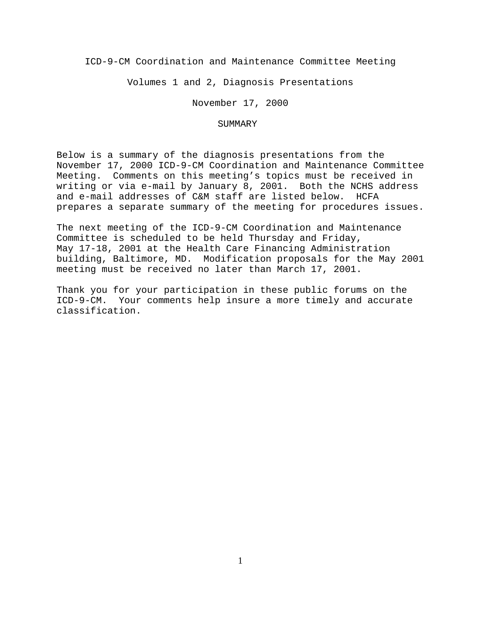ICD-9-CM Coordination and Maintenance Committee Meeting

Volumes 1 and 2, Diagnosis Presentations

November 17, 2000

#### SUMMARY

Below is a summary of the diagnosis presentations from the November 17, 2000 ICD-9-CM Coordination and Maintenance Committee Meeting. Comments on this meeting's topics must be received in writing or via e-mail by January 8, 2001. Both the NCHS address and e-mail addresses of C&M staff are listed below. HCFA prepares a separate summary of the meeting for procedures issues.

The next meeting of the ICD-9-CM Coordination and Maintenance Committee is scheduled to be held Thursday and Friday, May 17-18, 2001 at the Health Care Financing Administration building, Baltimore, MD. Modification proposals for the May 2001 meeting must be received no later than March 17, 2001.

Thank you for your participation in these public forums on the ICD-9-CM. Your comments help insure a more timely and accurate classification.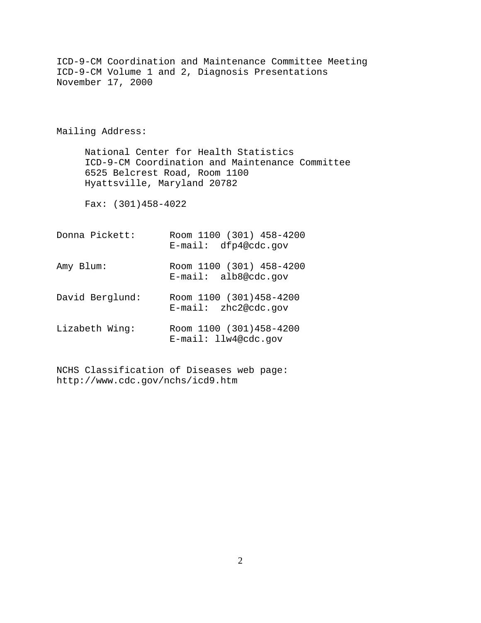ICD-9-CM Coordination and Maintenance Committee Meeting ICD-9-CM Volume 1 and 2, Diagnosis Presentations November 17, 2000 Mailing Address: National Center for Health Statistics ICD-9-CM Coordination and Maintenance Committee 6525 Belcrest Road, Room 1100 Hyattsville, Maryland 20782 Fax: (301)458-4022 Donna Pickett: Room 1100 (301) 458-4200 E-mail: dfp4@cdc.gov Amy Blum: Room 1100 (301) 458-4200 E-mail: alb8@cdc.gov David Berglund: Room 1100 (301)458-4200 E-mail: zhc2@cdc.gov Lizabeth Wing: Room 1100 (301)458-4200 E-mail: llw4@cdc.gov

NCHS Classification of Diseases web page: http://www.cdc.gov/nchs/icd9.htm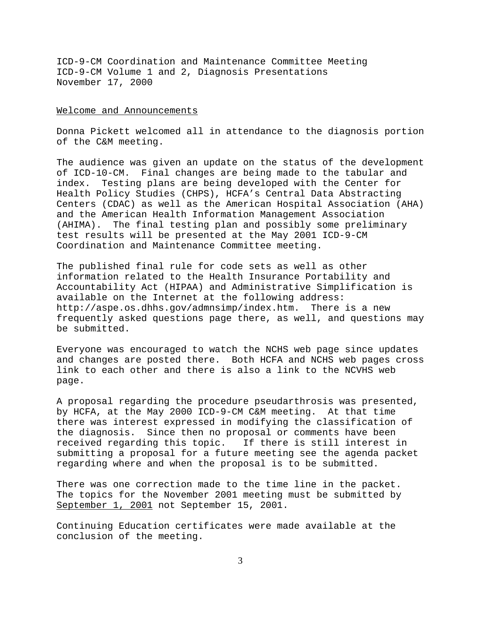#### Welcome and Announcements

Donna Pickett welcomed all in attendance to the diagnosis portion of the C&M meeting.

The audience was given an update on the status of the development of ICD-10-CM. Final changes are being made to the tabular and index. Testing plans are being developed with the Center for Health Policy Studies (CHPS), HCFA's Central Data Abstracting Centers (CDAC) as well as the American Hospital Association (AHA) and the American Health Information Management Association (AHIMA). The final testing plan and possibly some preliminary test results will be presented at the May 2001 ICD-9-CM Coordination and Maintenance Committee meeting.

The published final rule for code sets as well as other information related to the Health Insurance Portability and Accountability Act (HIPAA) and Administrative Simplification is available on the Internet at the following address: http://aspe.os.dhhs.gov/admnsimp/index.htm. There is a new frequently asked questions page there, as well, and questions may be submitted.

Everyone was encouraged to watch the NCHS web page since updates and changes are posted there. Both HCFA and NCHS web pages cross link to each other and there is also a link to the NCVHS web page.

A proposal regarding the procedure pseudarthrosis was presented, by HCFA, at the May 2000 ICD-9-CM C&M meeting. At that time there was interest expressed in modifying the classification of the diagnosis. Since then no proposal or comments have been received regarding this topic. If there is still interest in submitting a proposal for a future meeting see the agenda packet regarding where and when the proposal is to be submitted.

There was one correction made to the time line in the packet. The topics for the November 2001 meeting must be submitted by September 1, 2001 not September 15, 2001.

Continuing Education certificates were made available at the conclusion of the meeting.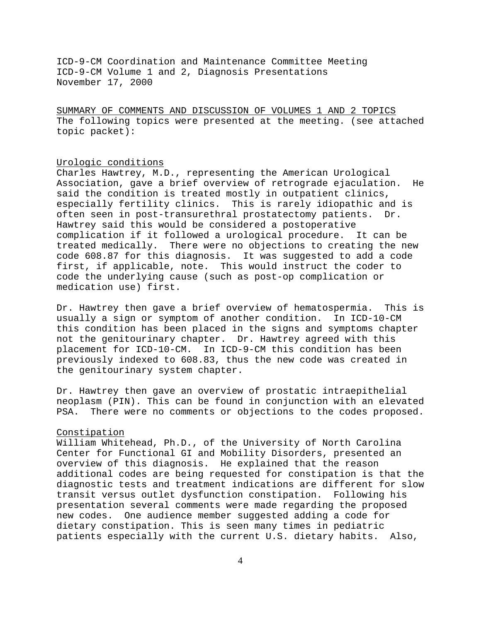SUMMARY OF COMMENTS AND DISCUSSION OF VOLUMES 1 AND 2 TOPICS The following topics were presented at the meeting. (see attached topic packet):

#### Urologic conditions

Charles Hawtrey, M.D., representing the American Urological Association, gave a brief overview of retrograde ejaculation. He said the condition is treated mostly in outpatient clinics, especially fertility clinics. This is rarely idiopathic and is often seen in post-transurethral prostatectomy patients. Dr. Hawtrey said this would be considered a postoperative complication if it followed a urological procedure. It can be treated medically. There were no objections to creating the new code 608.87 for this diagnosis. It was suggested to add a code first, if applicable, note. This would instruct the coder to code the underlying cause (such as post-op complication or medication use) first.

Dr. Hawtrey then gave a brief overview of hematospermia. This is usually a sign or symptom of another condition. In ICD-10-CM this condition has been placed in the signs and symptoms chapter not the genitourinary chapter. Dr. Hawtrey agreed with this placement for ICD-10-CM. In ICD-9-CM this condition has been previously indexed to 608.83, thus the new code was created in the genitourinary system chapter.

Dr. Hawtrey then gave an overview of prostatic intraepithelial neoplasm (PIN). This can be found in conjunction with an elevated PSA. There were no comments or objections to the codes proposed.

### Constipation

William Whitehead, Ph.D., of the University of North Carolina Center for Functional GI and Mobility Disorders, presented an overview of this diagnosis. He explained that the reason additional codes are being requested for constipation is that the diagnostic tests and treatment indications are different for slow transit versus outlet dysfunction constipation. Following his presentation several comments were made regarding the proposed new codes. One audience member suggested adding a code for dietary constipation. This is seen many times in pediatric patients especially with the current U.S. dietary habits. Also,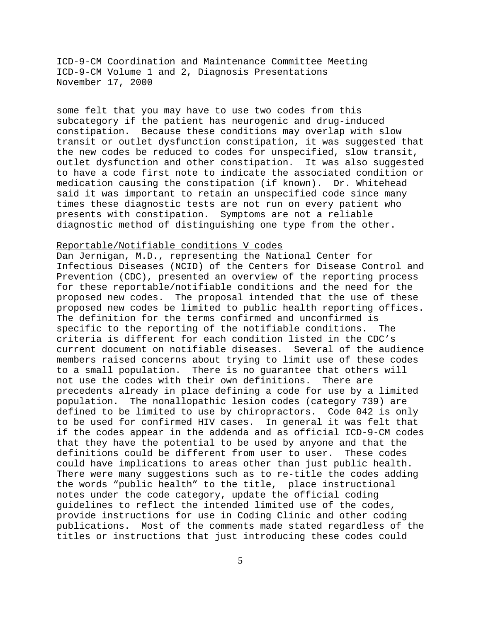some felt that you may have to use two codes from this subcategory if the patient has neurogenic and drug-induced constipation. Because these conditions may overlap with slow transit or outlet dysfunction constipation, it was suggested that the new codes be reduced to codes for unspecified, slow transit, outlet dysfunction and other constipation. It was also suggested to have a code first note to indicate the associated condition or medication causing the constipation (if known). Dr. Whitehead said it was important to retain an unspecified code since many times these diagnostic tests are not run on every patient who presents with constipation. Symptoms are not a reliable diagnostic method of distinguishing one type from the other.

# Reportable/Notifiable conditions V codes

Dan Jernigan, M.D., representing the National Center for Infectious Diseases (NCID) of the Centers for Disease Control and Prevention (CDC), presented an overview of the reporting process for these reportable/notifiable conditions and the need for the proposed new codes. The proposal intended that the use of these proposed new codes be limited to public health reporting offices. The definition for the terms confirmed and unconfirmed is specific to the reporting of the notifiable conditions. The criteria is different for each condition listed in the CDC's current document on notifiable diseases. Several of the audience members raised concerns about trying to limit use of these codes to a small population. There is no guarantee that others will not use the codes with their own definitions. There are precedents already in place defining a code for use by a limited population. The nonallopathic lesion codes (category 739) are defined to be limited to use by chiropractors. Code 042 is only to be used for confirmed HIV cases. In general it was felt that if the codes appear in the addenda and as official ICD-9-CM codes that they have the potential to be used by anyone and that the definitions could be different from user to user. These codes could have implications to areas other than just public health. There were many suggestions such as to re-title the codes adding the words "public health" to the title, place instructional notes under the code category, update the official coding guidelines to reflect the intended limited use of the codes, provide instructions for use in Coding Clinic and other coding publications. Most of the comments made stated regardless of the titles or instructions that just introducing these codes could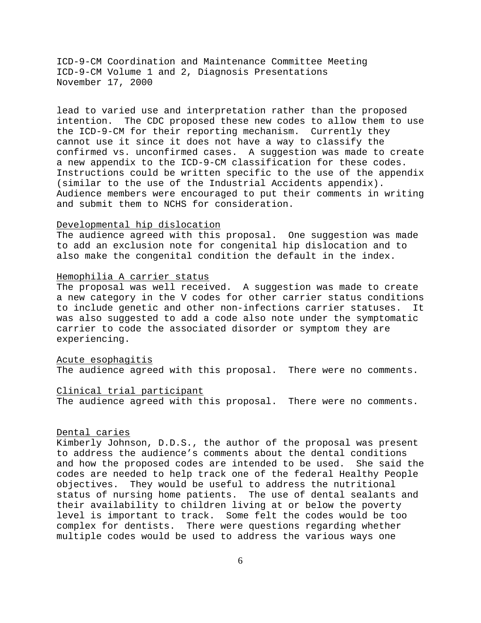lead to varied use and interpretation rather than the proposed intention. The CDC proposed these new codes to allow them to use the ICD-9-CM for their reporting mechanism. Currently they cannot use it since it does not have a way to classify the confirmed vs. unconfirmed cases. A suggestion was made to create a new appendix to the ICD-9-CM classification for these codes. Instructions could be written specific to the use of the appendix (similar to the use of the Industrial Accidents appendix). Audience members were encouraged to put their comments in writing and submit them to NCHS for consideration.

## Developmental hip dislocation

The audience agreed with this proposal. One suggestion was made to add an exclusion note for congenital hip dislocation and to also make the congenital condition the default in the index.

#### Hemophilia A carrier status

The proposal was well received. A suggestion was made to create a new category in the V codes for other carrier status conditions to include genetic and other non-infections carrier statuses. It was also suggested to add a code also note under the symptomatic carrier to code the associated disorder or symptom they are experiencing.

#### Acute esophagitis

The audience agreed with this proposal. There were no comments.

#### Clinical trial participant

The audience agreed with this proposal. There were no comments.

### Dental caries

Kimberly Johnson, D.D.S., the author of the proposal was present to address the audience's comments about the dental conditions and how the proposed codes are intended to be used. She said the codes are needed to help track one of the federal Healthy People objectives. They would be useful to address the nutritional status of nursing home patients. The use of dental sealants and their availability to children living at or below the poverty level is important to track. Some felt the codes would be too complex for dentists. There were questions regarding whether multiple codes would be used to address the various ways one